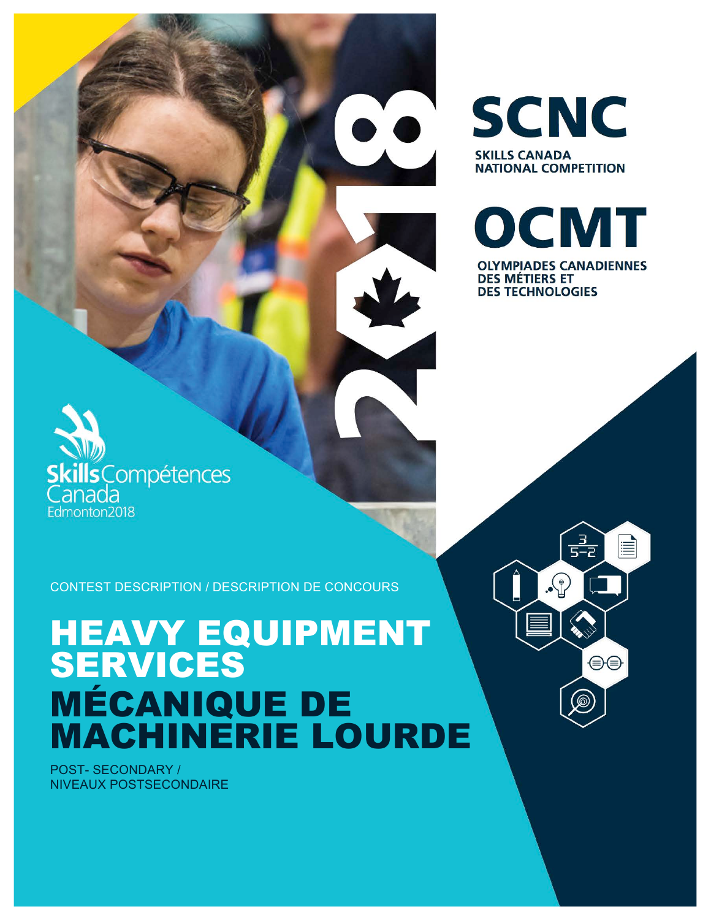CONTEST DESCRIPTION / DESCRIPTION DE CONCOURS

# HEAVY EQUIPMENT SERVICES MÉCANIQUE DE MACHINERIE LOURDE

POST- SECONDARY / NIVEAUX POSTSECONDAIRE

cills Compétences

nada Edmonton2018 **SCNC SKILLS CANADA NATIONAL COMPETITION** 

OCMT **OLYMPIADES CANADIENNES DES MÉTIERS ET DES TECHNOLOGIES** 

 $\frac{3}{5-2}$ 

 $\Omega$ 

≣

⊕⊜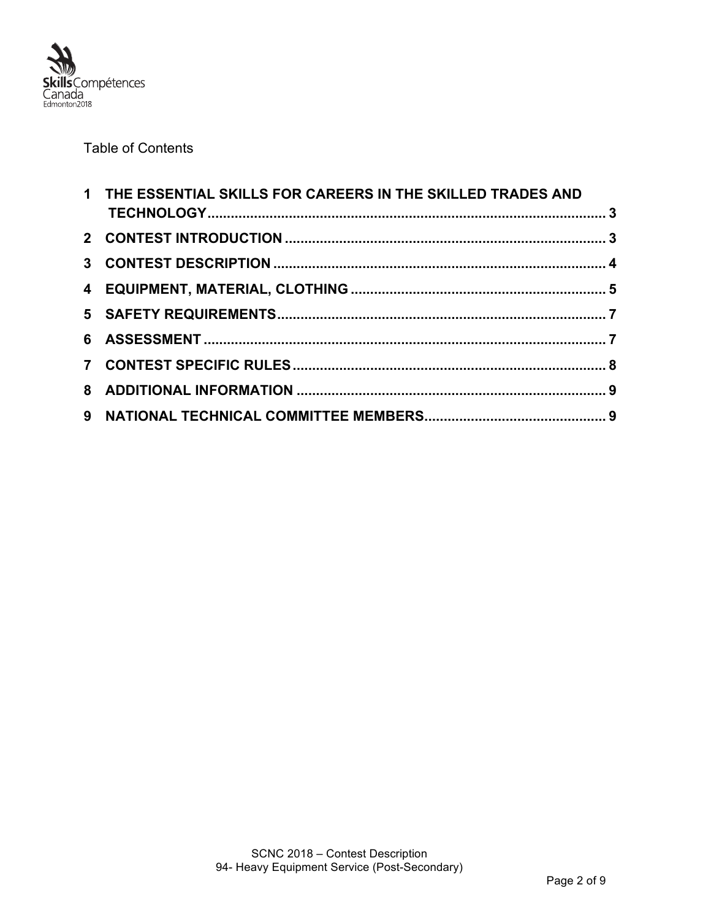

### Table of Contents

| 1 THE ESSENTIAL SKILLS FOR CAREERS IN THE SKILLED TRADES AND |  |
|--------------------------------------------------------------|--|
|                                                              |  |
|                                                              |  |
|                                                              |  |
|                                                              |  |
|                                                              |  |
|                                                              |  |
|                                                              |  |
|                                                              |  |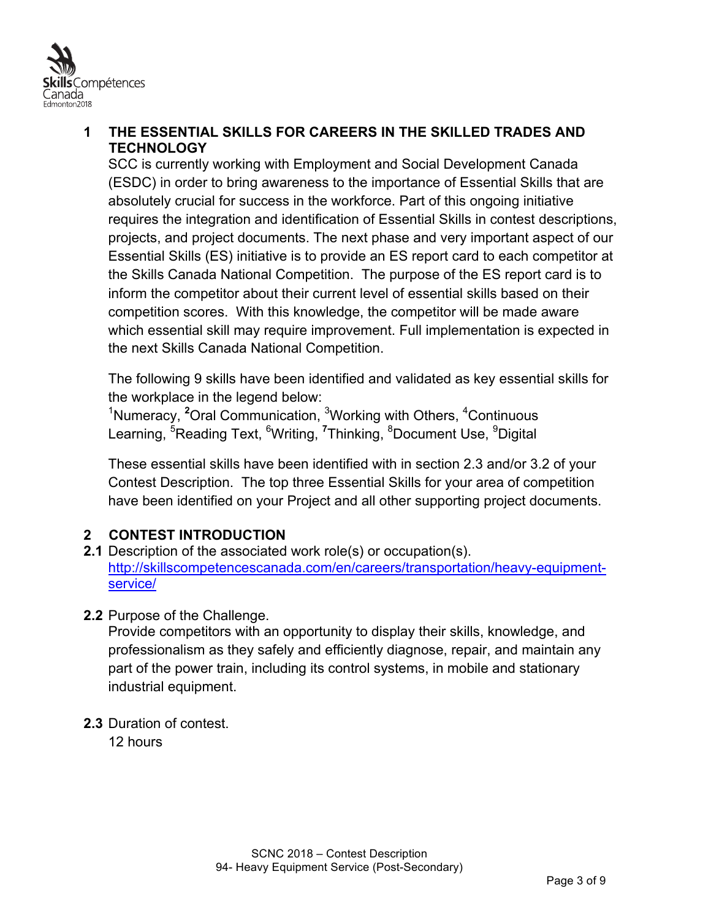

## **1 THE ESSENTIAL SKILLS FOR CAREERS IN THE SKILLED TRADES AND TECHNOLOGY**

SCC is currently working with Employment and Social Development Canada (ESDC) in order to bring awareness to the importance of Essential Skills that are absolutely crucial for success in the workforce. Part of this ongoing initiative requires the integration and identification of Essential Skills in contest descriptions, projects, and project documents. The next phase and very important aspect of our Essential Skills (ES) initiative is to provide an ES report card to each competitor at the Skills Canada National Competition. The purpose of the ES report card is to inform the competitor about their current level of essential skills based on their competition scores. With this knowledge, the competitor will be made aware which essential skill may require improvement. Full implementation is expected in the next Skills Canada National Competition.

The following 9 skills have been identified and validated as key essential skills for the workplace in the legend below:

<sup>1</sup>Numeracy, <sup>2</sup>Oral Communication, <sup>3</sup>Working with Others, <sup>4</sup>Continuous Learning, <sup>5</sup>Reading Text, <sup>6</sup>Writing, <sup>7</sup>Thinking, <sup>8</sup>Document Use, <sup>9</sup>Digital

These essential skills have been identified with in section 2.3 and/or 3.2 of your Contest Description. The top three Essential Skills for your area of competition have been identified on your Project and all other supporting project documents.

## **2 CONTEST INTRODUCTION**

- **2.1** Description of the associated work role(s) or occupation(s). http://skillscompetencescanada.com/en/careers/transportation/heavy-equipmentservice/
- **2.2** Purpose of the Challenge.

Provide competitors with an opportunity to display their skills, knowledge, and professionalism as they safely and efficiently diagnose, repair, and maintain any part of the power train, including its control systems, in mobile and stationary industrial equipment.

**2.3** Duration of contest.

12 hours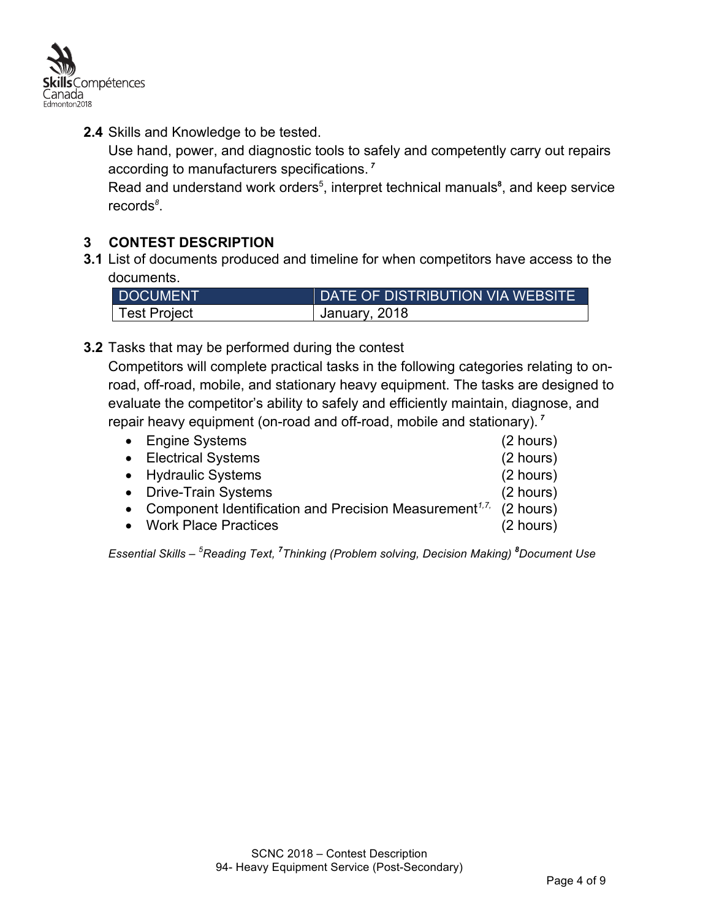

**2.4** Skills and Knowledge to be tested.

Use hand, power, and diagnostic tools to safely and competently carry out repairs according to manufacturers specifications. *<sup>7</sup>*

Read and understand work orders<sup>5</sup>, interpret technical manuals<sup>8</sup>, and keep service records*<sup>8</sup>* .

## **3 CONTEST DESCRIPTION**

**3.1** List of documents produced and timeline for when competitors have access to the documents.

| <b>DOCUMENT</b> | I DATE OF DISTRIBUTION VIA WEBSITE \ |  |
|-----------------|--------------------------------------|--|
| Test Project    | Uanuary, 2018                        |  |

**3.2** Tasks that may be performed during the contest

Competitors will complete practical tasks in the following categories relating to onroad, off-road, mobile, and stationary heavy equipment. The tasks are designed to evaluate the competitor's ability to safely and efficiently maintain, diagnose, and repair heavy equipment (on-road and off-road, mobile and stationary). *<sup>7</sup>*

| • Engine Systems                                                                             | $(2 \text{ hours})$ |
|----------------------------------------------------------------------------------------------|---------------------|
| • Electrical Systems                                                                         | (2 hours)           |
| • Hydraulic Systems                                                                          | $(2 \text{ hours})$ |
| • Drive-Train Systems                                                                        | $(2 \text{ hours})$ |
| • Component Identification and Precision Measurement <sup><math>1,7</math></sup> , (2 hours) |                     |
| • Work Place Practices                                                                       | $(2 \text{ hours})$ |
|                                                                                              |                     |

*Essential Skills – <sup>5</sup> Reading Text, <sup>7</sup> Thinking (Problem solving, Decision Making) <sup>8</sup> Document Use*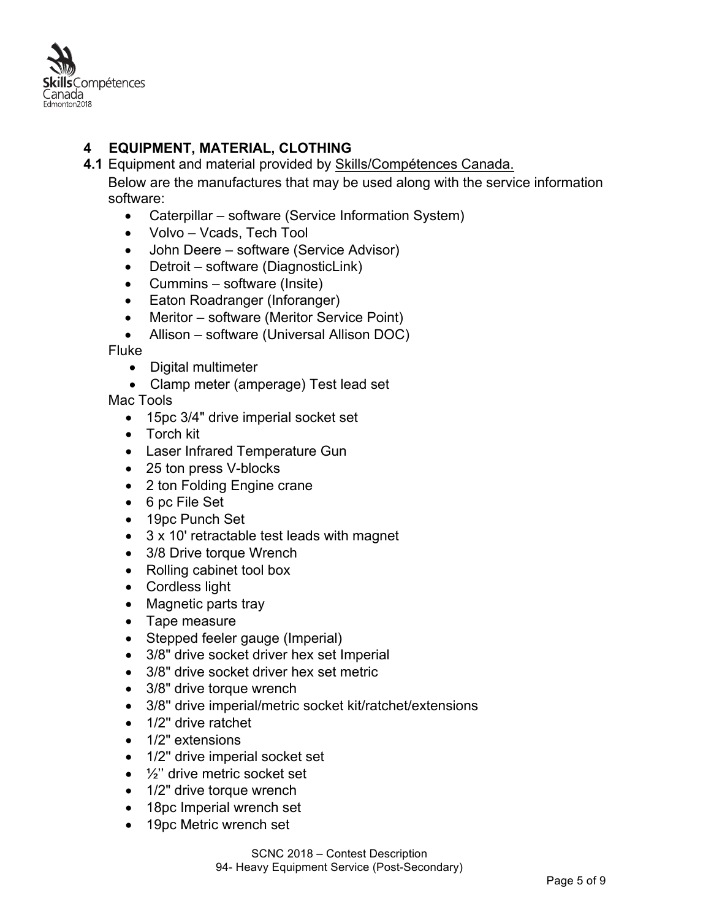

## **4 EQUIPMENT, MATERIAL, CLOTHING**

**4.1** Equipment and material provided by Skills/Compétences Canada.

Below are the manufactures that may be used along with the service information software:

- Caterpillar software (Service Information System)
- Volvo Vcads, Tech Tool
- John Deere software (Service Advisor)
- Detroit software (DiagnosticLink)
- Cummins software (Insite)
- Eaton Roadranger (Inforanger)
- Meritor software (Meritor Service Point)
- Allison software (Universal Allison DOC)

Fluke

- Digital multimeter
- Clamp meter (amperage) Test lead set

Mac Tools

- 15pc 3/4" drive imperial socket set
- Torch kit
- Laser Infrared Temperature Gun
- 25 ton press V-blocks
- 2 ton Folding Engine crane
- 6 pc File Set
- 19pc Punch Set
- 3 x 10' retractable test leads with magnet
- 3/8 Drive torque Wrench
- Rolling cabinet tool box
- Cordless light
- Magnetic parts tray
- Tape measure
- Stepped feeler gauge (Imperial)
- 3/8" drive socket driver hex set Imperial
- 3/8" drive socket driver hex set metric
- 3/8" drive torque wrench
- 3/8'' drive imperial/metric socket kit/ratchet/extensions
- 1/2" drive ratchet
- 1/2" extensions
- 1/2'' drive imperial socket set
- $\bullet$   $\frac{1}{2}$ " drive metric socket set
- 1/2" drive torque wrench
- 18pc Imperial wrench set
- 19pc Metric wrench set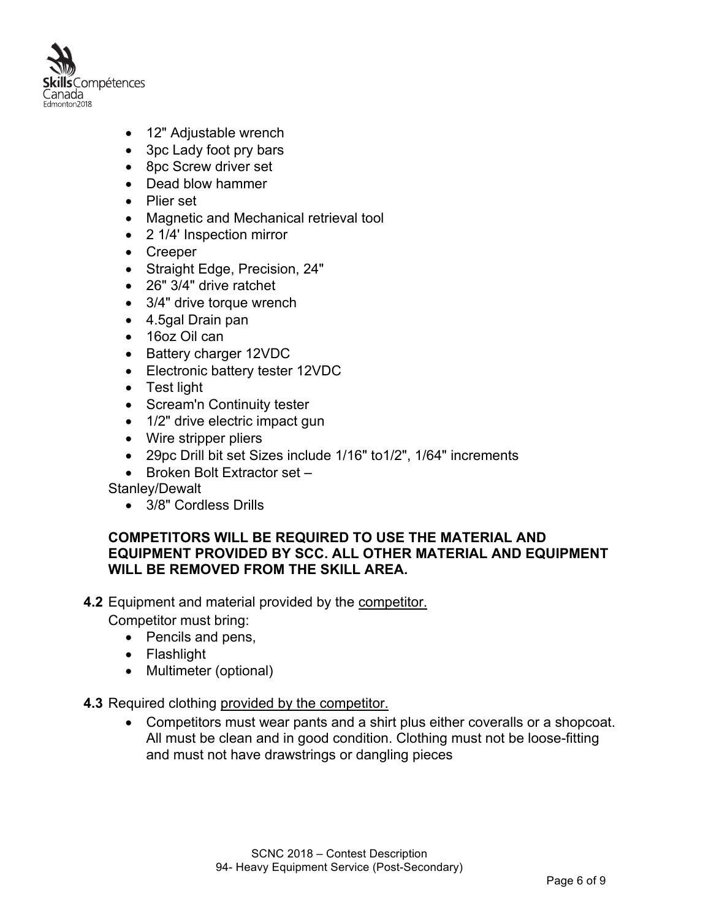

- 12" Adjustable wrench
- 3pc Lady foot pry bars
- 8pc Screw driver set
- Dead blow hammer
- Plier set
- Magnetic and Mechanical retrieval tool
- 2 1/4' Inspection mirror
- Creeper
- Straight Edge, Precision, 24"
- 26" 3/4" drive ratchet
- 3/4" drive torque wrench
- 4.5gal Drain pan
- 16oz Oil can
- Battery charger 12VDC
- Electronic battery tester 12VDC
- Test light
- Scream'n Continuity tester
- 1/2" drive electric impact gun
- Wire stripper pliers
- 29pc Drill bit set Sizes include 1/16" to1/2", 1/64" increments
- Broken Bolt Extractor set –

Stanley/Dewalt

• 3/8" Cordless Drills

#### **COMPETITORS WILL BE REQUIRED TO USE THE MATERIAL AND EQUIPMENT PROVIDED BY SCC. ALL OTHER MATERIAL AND EQUIPMENT WILL BE REMOVED FROM THE SKILL AREA.**

#### **4.2** Equipment and material provided by the competitor.

Competitor must bring:

- Pencils and pens,
- Flashlight
- Multimeter (optional)

#### **4.3** Required clothing provided by the competitor.

• Competitors must wear pants and a shirt plus either coveralls or a shopcoat. All must be clean and in good condition. Clothing must not be loose-fitting and must not have drawstrings or dangling pieces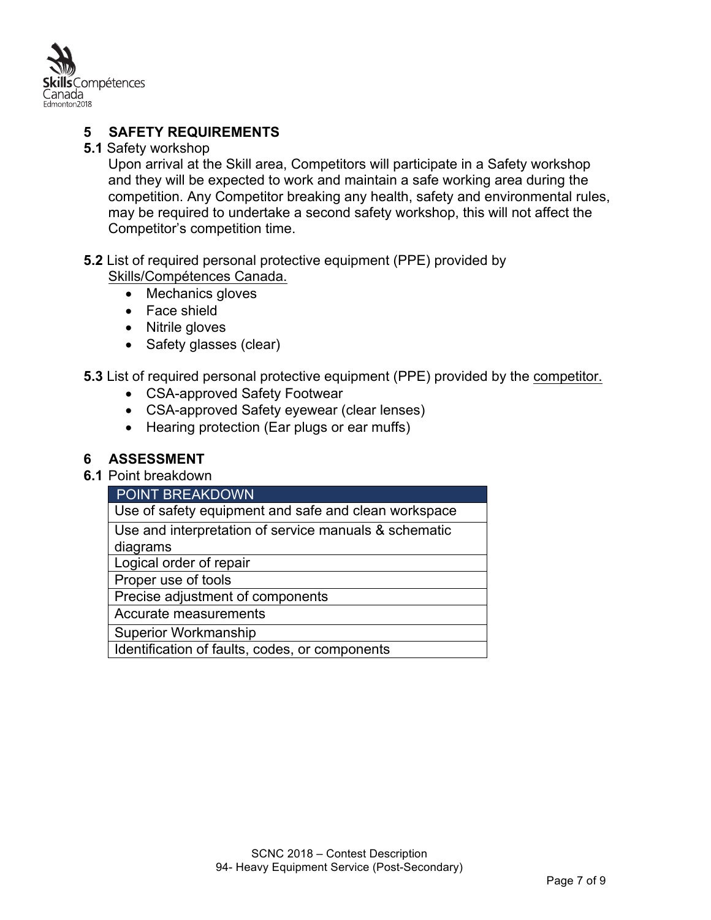

## **5 SAFETY REQUIREMENTS**

#### **5.1** Safety workshop

Upon arrival at the Skill area, Competitors will participate in a Safety workshop and they will be expected to work and maintain a safe working area during the competition. Any Competitor breaking any health, safety and environmental rules, may be required to undertake a second safety workshop, this will not affect the Competitor's competition time.

#### **5.2** List of required personal protective equipment (PPE) provided by Skills/Compétences Canada.

- Mechanics gloves
- Face shield
- Nitrile gloves
- Safety glasses (clear)

**5.3** List of required personal protective equipment (PPE) provided by the competitor.

- CSA-approved Safety Footwear
- CSA-approved Safety eyewear (clear lenses)
- Hearing protection (Ear plugs or ear muffs)

## **6 ASSESSMENT**

#### **6.1** Point breakdown

| POINT BREAKDOWN                                       |  |  |
|-------------------------------------------------------|--|--|
| Use of safety equipment and safe and clean workspace  |  |  |
| Use and interpretation of service manuals & schematic |  |  |
| diagrams                                              |  |  |
| Logical order of repair                               |  |  |
| Proper use of tools                                   |  |  |
| Precise adjustment of components                      |  |  |
| Accurate measurements                                 |  |  |
| <b>Superior Workmanship</b>                           |  |  |
| Identification of faults, codes, or components        |  |  |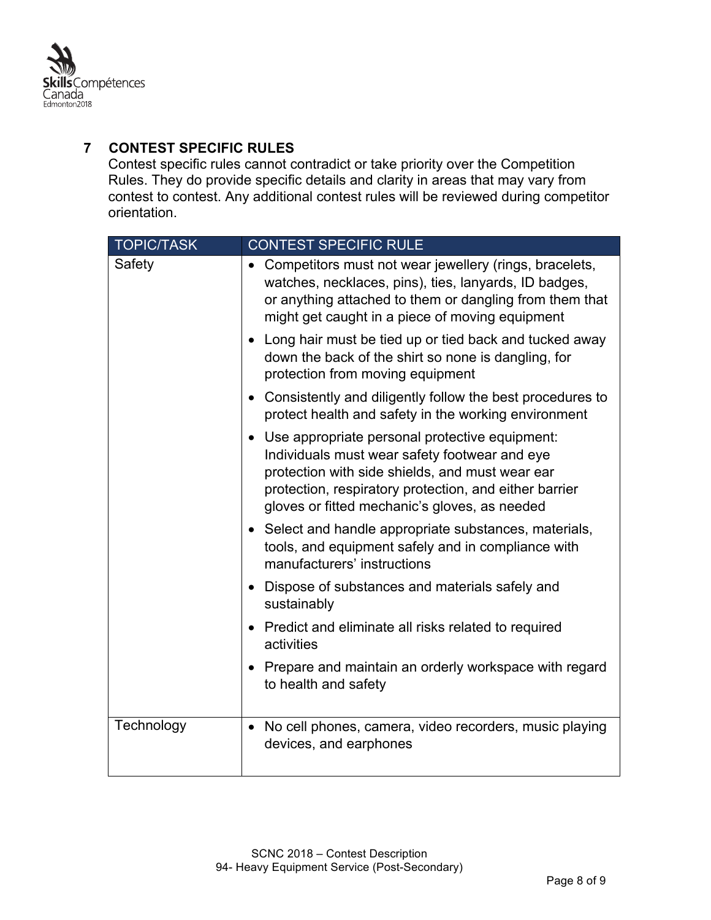

## **7 CONTEST SPECIFIC RULES**

Contest specific rules cannot contradict or take priority over the Competition Rules. They do provide specific details and clarity in areas that may vary from contest to contest. Any additional contest rules will be reviewed during competitor orientation.

| <b>TOPIC/TASK</b> | <b>CONTEST SPECIFIC RULE</b>                                                                                                                                                                                                                                  |  |  |
|-------------------|---------------------------------------------------------------------------------------------------------------------------------------------------------------------------------------------------------------------------------------------------------------|--|--|
| Safety            | Competitors must not wear jewellery (rings, bracelets,<br>watches, necklaces, pins), ties, lanyards, ID badges,<br>or anything attached to them or dangling from them that<br>might get caught in a piece of moving equipment                                 |  |  |
|                   | Long hair must be tied up or tied back and tucked away<br>down the back of the shirt so none is dangling, for<br>protection from moving equipment                                                                                                             |  |  |
|                   | • Consistently and diligently follow the best procedures to<br>protect health and safety in the working environment                                                                                                                                           |  |  |
|                   | Use appropriate personal protective equipment:<br>Individuals must wear safety footwear and eye<br>protection with side shields, and must wear ear<br>protection, respiratory protection, and either barrier<br>gloves or fitted mechanic's gloves, as needed |  |  |
|                   | • Select and handle appropriate substances, materials,<br>tools, and equipment safely and in compliance with<br>manufacturers' instructions                                                                                                                   |  |  |
|                   | Dispose of substances and materials safely and<br>sustainably                                                                                                                                                                                                 |  |  |
|                   | Predict and eliminate all risks related to required<br>activities                                                                                                                                                                                             |  |  |
|                   | Prepare and maintain an orderly workspace with regard<br>$\bullet$<br>to health and safety                                                                                                                                                                    |  |  |
| Technology        | • No cell phones, camera, video recorders, music playing<br>devices, and earphones                                                                                                                                                                            |  |  |